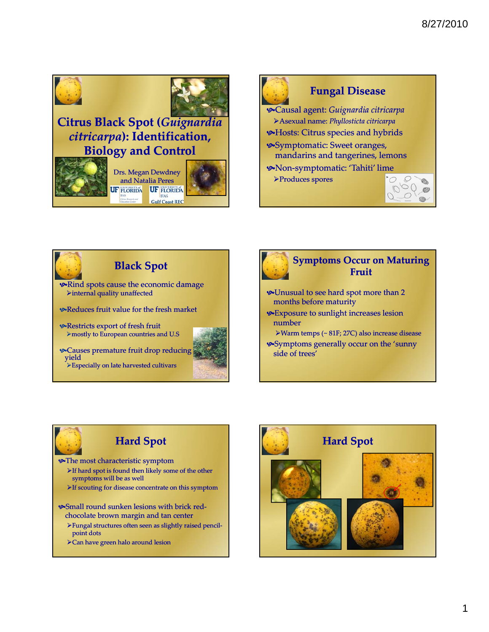





Causes premature fruit drop reducing yield Especially on late harvested cultivars



**Symptoms Occur on Maturing**

# **Hard Spot**

- The most characteristic symptom
	- If hard spot is found then likely some of the other symptoms will be as well
	- $\blacktriangleright$  If scouting for disease concentrate on this symptom
- Small round sunken lesions with brick red‐ chocolate brown margin and tan center
	- Fungal structures often seen as slightly raised pencil‐ point dots
	- Can have green halo around lesion

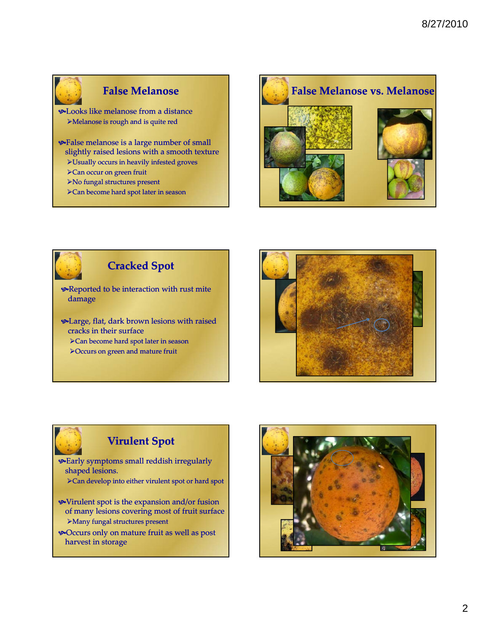

# **False Melanose**

Looks like melanose from a distance Melanose is rough and is quite red

**S**-False melanose is a large number of small slightly raised lesions with a smooth texture

- Usually occurs in heavily infested groves
- Can occur on green fruit
- No fungal structures present
- Can become hard spot later in season





# **Cracked Spot**

Reported to be interaction with rust mite damage

Large, flat, dark brown lesions with raised cracks in their surface

Can become hard spot later in season

Occurs on green and mature fruit



# **Virulent Spot**

Early symptoms small reddish irregularly shaped lesions.

Can develop into either virulent spot or hard spot

- Virulent spot is the expansion and/or fusion of many lesions covering most of fruit surface Many fungal structures present
- Occurs only on mature fruit as well as post harvest in storage

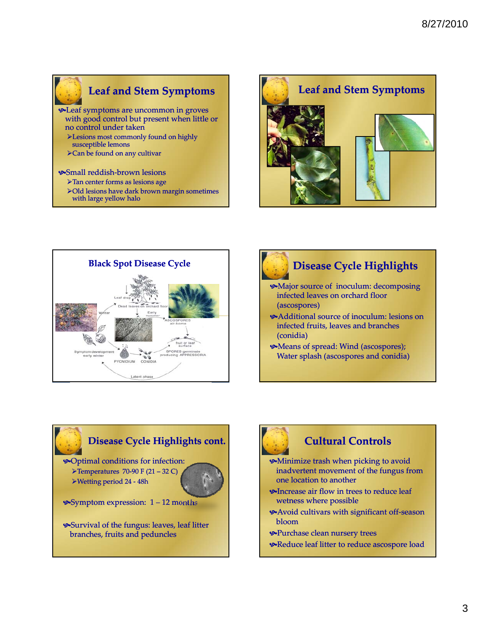## **Leaf and Stem Symptoms**

- Leaf symptoms are uncommon in groves with good control but present when little or no control under taken
	- $\blacktriangleright$  Lesions most commonly found on highly susceptible lemons
	- Can be found on any cultivar

### Small reddish‐brown lesions

- Tan center forms as lesions age
- Old lesions have dark brown margin sometimes with large yellow halo







- Major source of inoculum: decomposing infected leaves on orchard floor (ascospores)
- Additional source of inoculum: lesions on infected fruits, leaves and branches (conidia)
- Means of spread: Wind (ascospores); Water splash (ascospores and conidia)

# **Disease Cycle Highlights cont.**

Optimal conditions for infection: Temperatures 70‐90 F (21 – 32 C) Wetting period 24 ‐ 48h



Symptom expression: 1 – 12 months

Survival of the fungus: leaves, leaf litter branches, fruits and peduncles



Reduce leaf litter to reduce ascospore load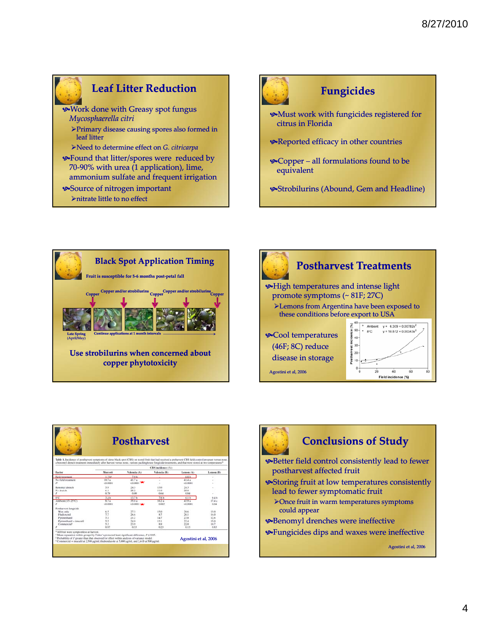# **Leaf Litter Reduction**

- Work done with Greasy spot fungus *Mycosphaerella Mycosphaerella citri*
	- Primary disease causing spores also formed in leaf litter
	- Need to determine effect on *G. citricarpa*
- Found that litter/spores were reduced by 70‐90% with urea (1 application), lime, ammonium sulfate and frequent irrigation
- Source of nitrogen important
	- nitrate little to no effect







| <b>Postharvest</b>                                                                                                                                                                                                                                                                                                                                                                         |                   |                  |                                   |                      |           |
|--------------------------------------------------------------------------------------------------------------------------------------------------------------------------------------------------------------------------------------------------------------------------------------------------------------------------------------------------------------------------------------------|-------------------|------------------|-----------------------------------|----------------------|-----------|
| Table 1. Incidence of postharvest symptoms of citrus black spot (CBS) on stored fruit that had received a preharvest CBS field control program versus none,<br>a banomyl drench treatment immediately after harvest versus none, various packinghouse fungicide treatments, and that were stored at two temperatures <sup>36</sup>                                                         |                   |                  |                                   |                      |           |
| <b>Factor</b>                                                                                                                                                                                                                                                                                                                                                                              | <b>Murcutt</b>    | Valencia (A)     | CBS incidence (%)<br>Valencia (B) | Lemon (A)            | Lemon (B) |
| Field treatment                                                                                                                                                                                                                                                                                                                                                                            | 1.330             | 7.9 <sub>h</sub> |                                   | 6.8h                 |           |
| No field treatment                                                                                                                                                                                                                                                                                                                                                                         | 10.7 <sub>u</sub> | $41.7 +$         |                                   | 41.4 a               |           |
|                                                                                                                                                                                                                                                                                                                                                                                            | (0.0001)          | $-0.0001$        |                                   | $-0.0001$            |           |
| Benomyl drench                                                                                                                                                                                                                                                                                                                                                                             | 5.9               | 34.3             | 13.45                             | 24.3                 |           |
| No drench                                                                                                                                                                                                                                                                                                                                                                                  | 6.1               | 25.2             | 11.0                              | 25.0                 |           |
|                                                                                                                                                                                                                                                                                                                                                                                            | 0.79              | 0.09             | 0.64                              | 0.84                 |           |
| $8^{\circ}$ C                                                                                                                                                                                                                                                                                                                                                                              | 3.4 <sub>h</sub>  | 13.7h            | 7.8 <sub>h</sub>                  | 6.1 h                | 9.4 h     |
| Ambient (15-25°C)                                                                                                                                                                                                                                                                                                                                                                          | 8.7 <sub>u</sub>  | $35.8 +$         | 16.2a                             | 43.9 a               | $17.4 +$  |
|                                                                                                                                                                                                                                                                                                                                                                                            | c0.0001           | $-0.0001 -$      | 0.005                             | 0.0001               | 0.04      |
| Postharvest fungicide                                                                                                                                                                                                                                                                                                                                                                      |                   |                  |                                   |                      |           |
| Wax only                                                                                                                                                                                                                                                                                                                                                                                   | 6.5               | 27.3             | 150                               | 28.6                 | 13.0      |
| Fludiosonil                                                                                                                                                                                                                                                                                                                                                                                | 7.7               | 26.6             | 87                                | 26.1                 | 16.0      |
| Pyrimethanil                                                                                                                                                                                                                                                                                                                                                                               | 5.1               | 21.2             | 14.7                              | 23.8                 | 12.6      |
| Pyrimethatil + imazalil                                                                                                                                                                                                                                                                                                                                                                    | 5.5               | 34.9             | 13.1                              | 22.4                 | 15.0      |
| Commercial <sup>y</sup>                                                                                                                                                                                                                                                                                                                                                                    | 5.3               | 23.0             | 8.9                               | 22.0                 | 10.7      |
|                                                                                                                                                                                                                                                                                                                                                                                            | 0.97              | 0.53             | 0.23                              | 0.13                 | 0.83      |
| * All fruit were symptomiess at harvest.<br><sup>v</sup> Mean separation within groups by Fisher's protected least significant difference, $P \leq 0.05$ .<br><sup>7</sup> Probability of <i>F</i> greater than that observed for effect within analysis of variance model.<br><sup>2</sup> Commercial = imaralil at 2.500 sig/ml, this/rendazole at 5.000 up/ml, and 2.4-D at 500 sig/ml. |                   |                  |                                   | Agostini et al, 2006 |           |